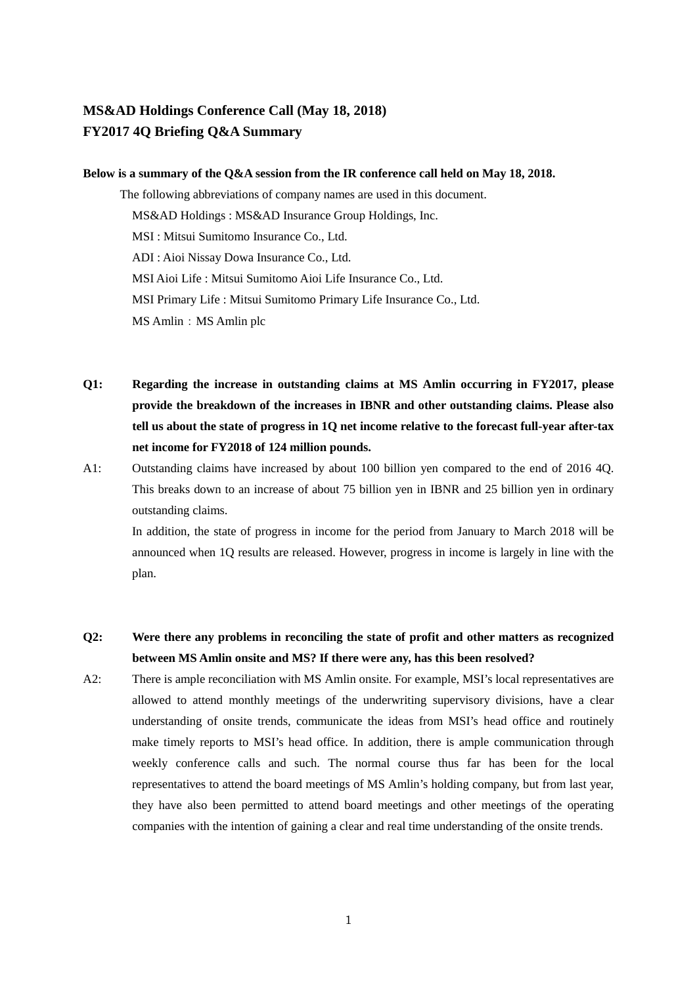## **MS&AD Holdings Conference Call (May 18, 2018) FY2017 4Q Briefing Q&A Summary**

## **Below is a summary of the Q&A session from the IR conference call held on May 18, 2018.**

The following abbreviations of company names are used in this document. MS&AD Holdings : MS&AD Insurance Group Holdings, Inc. MSI : Mitsui Sumitomo Insurance Co., Ltd. ADI : Aioi Nissay Dowa Insurance Co., Ltd. MSI Aioi Life : Mitsui Sumitomo Aioi Life Insurance Co., Ltd. MSI Primary Life : Mitsui Sumitomo Primary Life Insurance Co., Ltd. MS Amlin: MS Amlin plc

- **Q1: Regarding the increase in outstanding claims at MS Amlin occurring in FY2017, please provide the breakdown of the increases in IBNR and other outstanding claims. Please also tell us about the state of progress in 1Q net income relative to the forecast full-year after-tax net income for FY2018 of 124 million pounds.**
- A1: Outstanding claims have increased by about 100 billion yen compared to the end of 2016 4Q. This breaks down to an increase of about 75 billion yen in IBNR and 25 billion yen in ordinary outstanding claims.

In addition, the state of progress in income for the period from January to March 2018 will be announced when 1Q results are released. However, progress in income is largely in line with the plan.

- **Q2: Were there any problems in reconciling the state of profit and other matters as recognized between MS Amlin onsite and MS? If there were any, has this been resolved?**
- A2: There is ample reconciliation with MS Amlin onsite. For example, MSI's local representatives are allowed to attend monthly meetings of the underwriting supervisory divisions, have a clear understanding of onsite trends, communicate the ideas from MSI's head office and routinely make timely reports to MSI's head office. In addition, there is ample communication through weekly conference calls and such. The normal course thus far has been for the local representatives to attend the board meetings of MS Amlin's holding company, but from last year, they have also been permitted to attend board meetings and other meetings of the operating companies with the intention of gaining a clear and real time understanding of the onsite trends.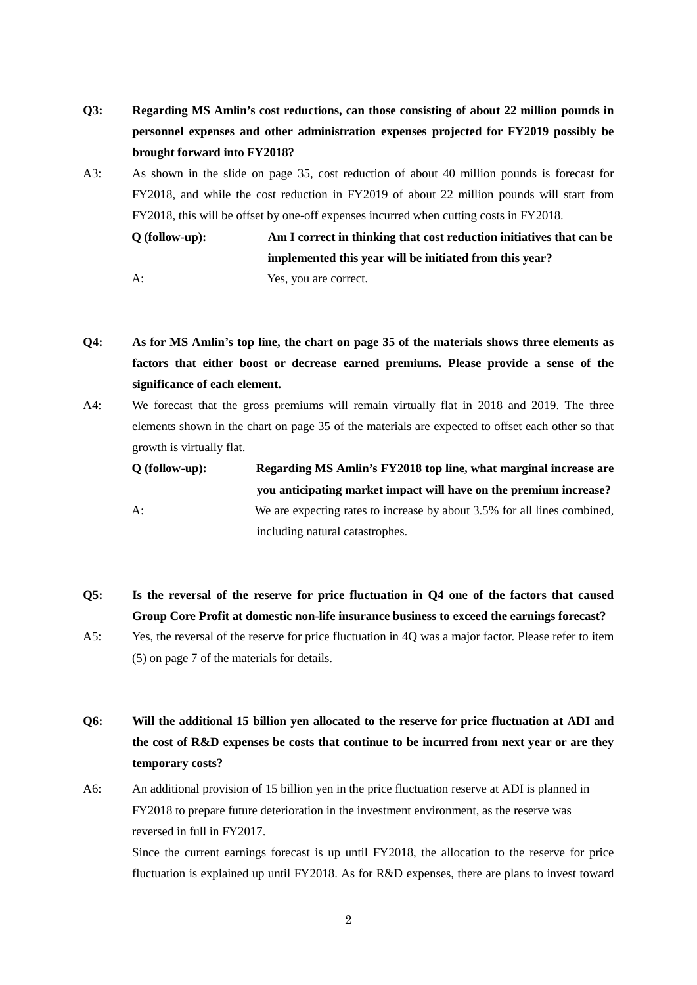- **Q3: Regarding MS Amlin's cost reductions, can those consisting of about 22 million pounds in personnel expenses and other administration expenses projected for FY2019 possibly be brought forward into FY2018?**
- A3: As shown in the slide on page 35, cost reduction of about 40 million pounds is forecast for FY2018, and while the cost reduction in FY2019 of about 22 million pounds will start from FY2018, this will be offset by one-off expenses incurred when cutting costs in FY2018.

**Q (follow-up): Am I correct in thinking that cost reduction initiatives that can be implemented this year will be initiated from this year?**

A: Yes, you are correct.

- **Q4: As for MS Amlin's top line, the chart on page 35 of the materials shows three elements as factors that either boost or decrease earned premiums. Please provide a sense of the significance of each element.**
- A4: We forecast that the gross premiums will remain virtually flat in 2018 and 2019. The three elements shown in the chart on page 35 of the materials are expected to offset each other so that growth is virtually flat.

| $O$ (follow-up): | Regarding MS Amlin's FY2018 top line, what marginal increase are         |
|------------------|--------------------------------------------------------------------------|
|                  | you anticipating market impact will have on the premium increase?        |
| $A$ :            | We are expecting rates to increase by about 3.5% for all lines combined, |
|                  | including natural catastrophes.                                          |

- **Q5: Is the reversal of the reserve for price fluctuation in Q4 one of the factors that caused Group Core Profit at domestic non-life insurance business to exceed the earnings forecast?**
- A5: Yes, the reversal of the reserve for price fluctuation in 4Q was a major factor. Please refer to item (5) on page 7 of the materials for details.
- **Q6: Will the additional 15 billion yen allocated to the reserve for price fluctuation at ADI and the cost of R&D expenses be costs that continue to be incurred from next year or are they temporary costs?**
- A6: An additional provision of 15 billion yen in the price fluctuation reserve at ADI is planned in FY2018 to prepare future deterioration in the investment environment, as the reserve was reversed in full in FY2017.

Since the current earnings forecast is up until FY2018, the allocation to the reserve for price fluctuation is explained up until FY2018. As for R&D expenses, there are plans to invest toward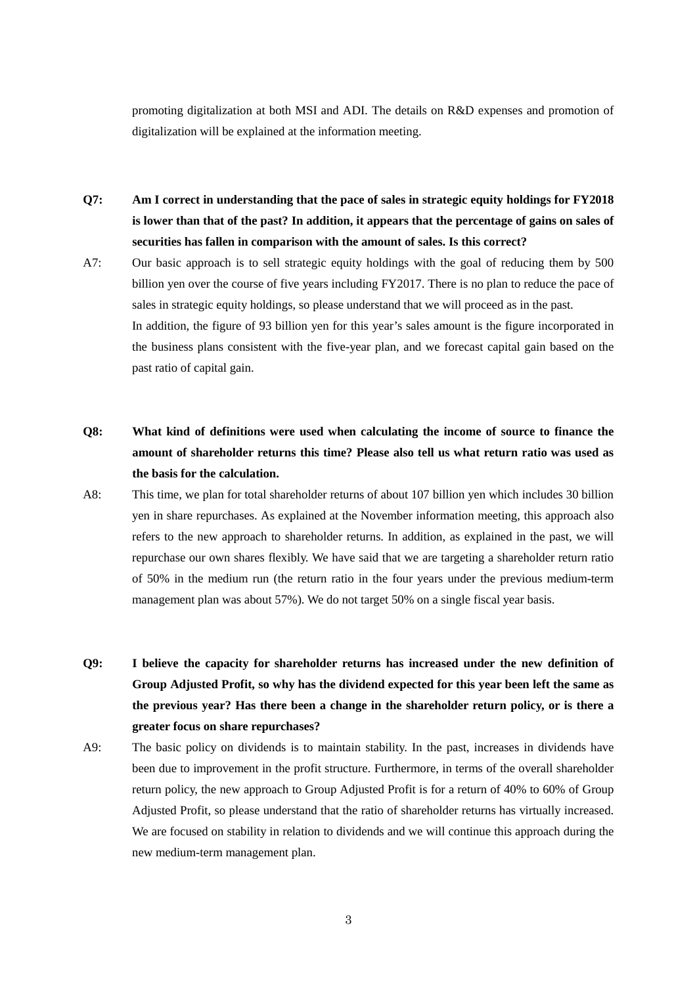promoting digitalization at both MSI and ADI. The details on R&D expenses and promotion of digitalization will be explained at the information meeting.

- **Q7: Am I correct in understanding that the pace of sales in strategic equity holdings for FY2018 is lower than that of the past? In addition, it appears that the percentage of gains on sales of securities has fallen in comparison with the amount of sales. Is this correct?**
- A7: Our basic approach is to sell strategic equity holdings with the goal of reducing them by 500 billion yen over the course of five years including FY2017. There is no plan to reduce the pace of sales in strategic equity holdings, so please understand that we will proceed as in the past. In addition, the figure of 93 billion yen for this year's sales amount is the figure incorporated in the business plans consistent with the five-year plan, and we forecast capital gain based on the past ratio of capital gain.
- **Q8: What kind of definitions were used when calculating the income of source to finance the amount of shareholder returns this time? Please also tell us what return ratio was used as the basis for the calculation.**
- A8: This time, we plan for total shareholder returns of about 107 billion yen which includes 30 billion yen in share repurchases. As explained at the November information meeting, this approach also refers to the new approach to shareholder returns. In addition, as explained in the past, we will repurchase our own shares flexibly. We have said that we are targeting a shareholder return ratio of 50% in the medium run (the return ratio in the four years under the previous medium-term management plan was about 57%). We do not target 50% on a single fiscal year basis.
- **Q9: I believe the capacity for shareholder returns has increased under the new definition of Group Adjusted Profit, so why has the dividend expected for this year been left the same as the previous year? Has there been a change in the shareholder return policy, or is there a greater focus on share repurchases?**
- A9: The basic policy on dividends is to maintain stability. In the past, increases in dividends have been due to improvement in the profit structure. Furthermore, in terms of the overall shareholder return policy, the new approach to Group Adjusted Profit is for a return of 40% to 60% of Group Adjusted Profit, so please understand that the ratio of shareholder returns has virtually increased. We are focused on stability in relation to dividends and we will continue this approach during the new medium-term management plan.